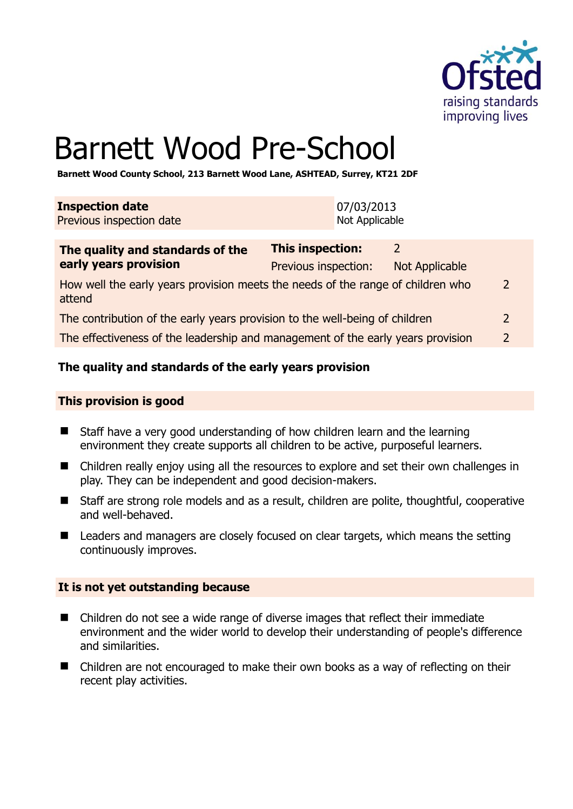

# Barnett Wood Pre-School

**Barnett Wood County School, 213 Barnett Wood Lane, ASHTEAD, Surrey, KT21 2DF** 

| <b>Inspection date</b>   | 07/03/2013     |
|--------------------------|----------------|
| Previous inspection date | Not Applicable |

| The quality and standards of the                                                          | <b>This inspection:</b> |                |                |
|-------------------------------------------------------------------------------------------|-------------------------|----------------|----------------|
| early years provision                                                                     | Previous inspection:    | Not Applicable |                |
| How well the early years provision meets the needs of the range of children who<br>attend |                         |                | $\overline{2}$ |
| The contribution of the early years provision to the well-being of children               |                         |                |                |
| The effectiveness of the leadership and management of the early years provision           |                         |                | $\overline{2}$ |

# **The quality and standards of the early years provision**

#### **This provision is good**

- Staff have a very good understanding of how children learn and the learning environment they create supports all children to be active, purposeful learners.
- Children really enjoy using all the resources to explore and set their own challenges in play. They can be independent and good decision-makers.
- Staff are strong role models and as a result, children are polite, thoughtful, cooperative and well-behaved.
- Leaders and managers are closely focused on clear targets, which means the setting continuously improves.

#### **It is not yet outstanding because**

- Children do not see a wide range of diverse images that reflect their immediate environment and the wider world to develop their understanding of people's difference and similarities.
- Children are not encouraged to make their own books as a way of reflecting on their recent play activities.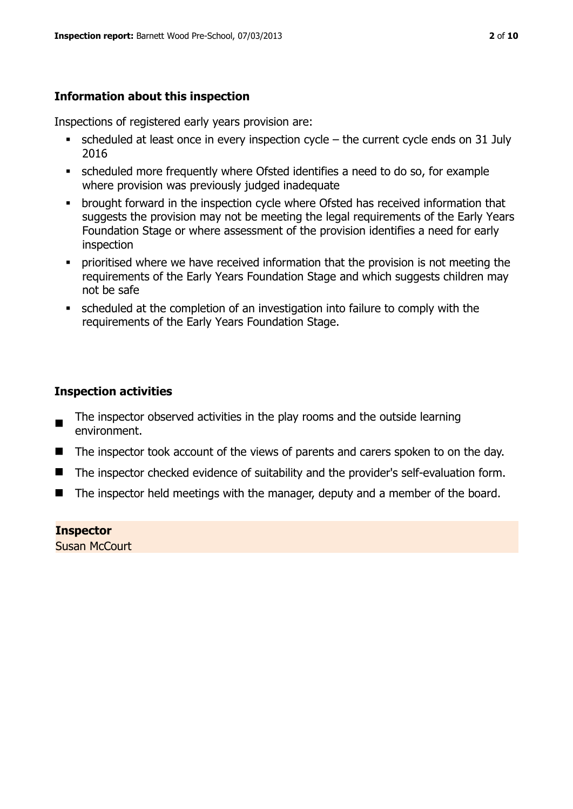# **Information about this inspection**

Inspections of registered early years provision are:

- scheduled at least once in every inspection cycle the current cycle ends on 31 July 2016
- scheduled more frequently where Ofsted identifies a need to do so, for example where provision was previously judged inadequate
- **•** brought forward in the inspection cycle where Ofsted has received information that suggests the provision may not be meeting the legal requirements of the Early Years Foundation Stage or where assessment of the provision identifies a need for early inspection
- **•** prioritised where we have received information that the provision is not meeting the requirements of the Early Years Foundation Stage and which suggests children may not be safe
- scheduled at the completion of an investigation into failure to comply with the requirements of the Early Years Foundation Stage.

# **Inspection activities**

- The inspector observed activities in the play rooms and the outside learning environment.
- The inspector took account of the views of parents and carers spoken to on the day.
- The inspector checked evidence of suitability and the provider's self-evaluation form.
- $\blacksquare$  The inspector held meetings with the manager, deputy and a member of the board.

**Inspector**  Susan McCourt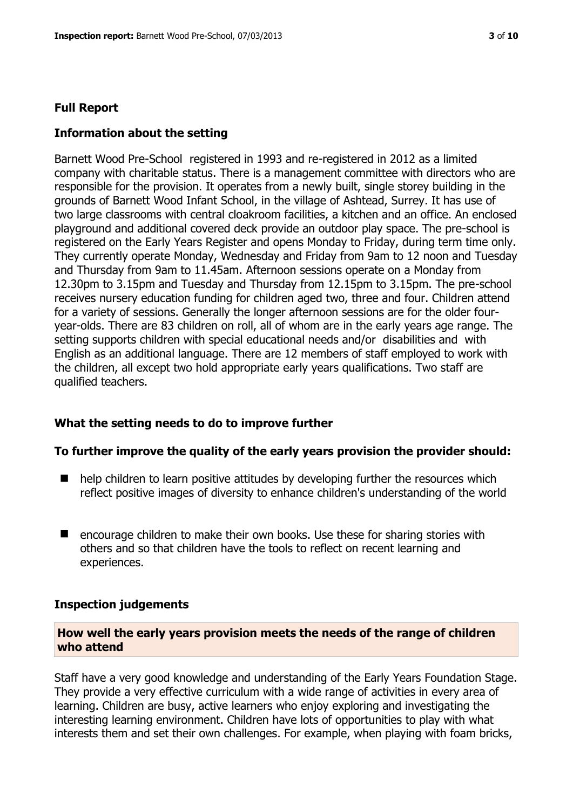#### **Full Report**

#### **Information about the setting**

Barnett Wood Pre-School registered in 1993 and re-registered in 2012 as a limited company with charitable status. There is a management committee with directors who are responsible for the provision. It operates from a newly built, single storey building in the grounds of Barnett Wood Infant School, in the village of Ashtead, Surrey. It has use of two large classrooms with central cloakroom facilities, a kitchen and an office. An enclosed playground and additional covered deck provide an outdoor play space. The pre-school is registered on the Early Years Register and opens Monday to Friday, during term time only. They currently operate Monday, Wednesday and Friday from 9am to 12 noon and Tuesday and Thursday from 9am to 11.45am. Afternoon sessions operate on a Monday from 12.30pm to 3.15pm and Tuesday and Thursday from 12.15pm to 3.15pm. The pre-school receives nursery education funding for children aged two, three and four. Children attend for a variety of sessions. Generally the longer afternoon sessions are for the older fouryear-olds. There are 83 children on roll, all of whom are in the early years age range. The setting supports children with special educational needs and/or disabilities and with English as an additional language. There are 12 members of staff employed to work with the children, all except two hold appropriate early years qualifications. Two staff are qualified teachers.

# **What the setting needs to do to improve further**

#### **To further improve the quality of the early years provision the provider should:**

- $\blacksquare$  help children to learn positive attitudes by developing further the resources which reflect positive images of diversity to enhance children's understanding of the world
- encourage children to make their own books. Use these for sharing stories with others and so that children have the tools to reflect on recent learning and experiences.

#### **Inspection judgements**

#### **How well the early years provision meets the needs of the range of children who attend**

Staff have a very good knowledge and understanding of the Early Years Foundation Stage. They provide a very effective curriculum with a wide range of activities in every area of learning. Children are busy, active learners who enjoy exploring and investigating the interesting learning environment. Children have lots of opportunities to play with what interests them and set their own challenges. For example, when playing with foam bricks,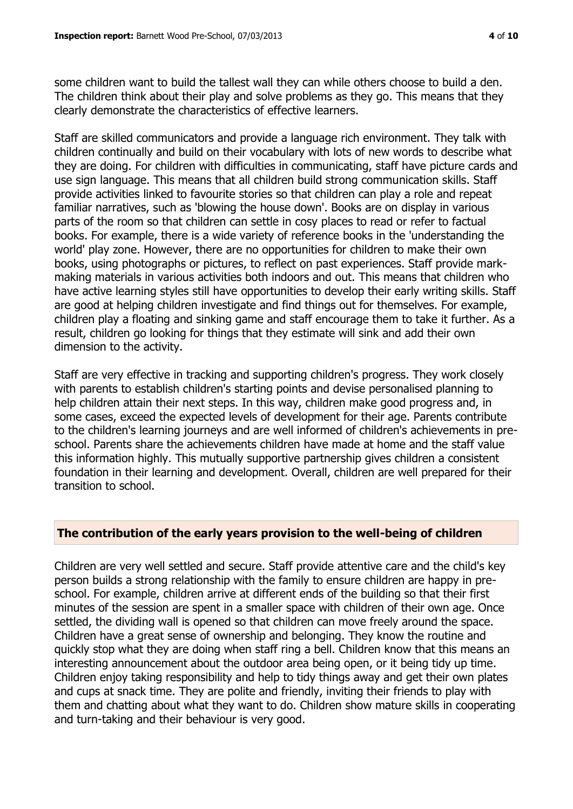some children want to build the tallest wall they can while others choose to build a den. The children think about their play and solve problems as they go. This means that they clearly demonstrate the characteristics of effective learners.

Staff are skilled communicators and provide a language rich environment. They talk with children continually and build on their vocabulary with lots of new words to describe what they are doing. For children with difficulties in communicating, staff have picture cards and use sign language. This means that all children build strong communication skills. Staff provide activities linked to favourite stories so that children can play a role and repeat familiar narratives, such as 'blowing the house down'. Books are on display in various parts of the room so that children can settle in cosy places to read or refer to factual books. For example, there is a wide variety of reference books in the 'understanding the world' play zone. However, there are no opportunities for children to make their own books, using photographs or pictures, to reflect on past experiences. Staff provide markmaking materials in various activities both indoors and out. This means that children who have active learning styles still have opportunities to develop their early writing skills. Staff are good at helping children investigate and find things out for themselves. For example, children play a floating and sinking game and staff encourage them to take it further. As a result, children go looking for things that they estimate will sink and add their own dimension to the activity.

Staff are very effective in tracking and supporting children's progress. They work closely with parents to establish children's starting points and devise personalised planning to help children attain their next steps. In this way, children make good progress and, in some cases, exceed the expected levels of development for their age. Parents contribute to the children's learning journeys and are well informed of children's achievements in preschool. Parents share the achievements children have made at home and the staff value this information highly. This mutually supportive partnership gives children a consistent foundation in their learning and development. Overall, children are well prepared for their transition to school.

#### **The contribution of the early years provision to the well-being of children**

Children are very well settled and secure. Staff provide attentive care and the child's key person builds a strong relationship with the family to ensure children are happy in preschool. For example, children arrive at different ends of the building so that their first minutes of the session are spent in a smaller space with children of their own age. Once settled, the dividing wall is opened so that children can move freely around the space. Children have a great sense of ownership and belonging. They know the routine and quickly stop what they are doing when staff ring a bell. Children know that this means an interesting announcement about the outdoor area being open, or it being tidy up time. Children enjoy taking responsibility and help to tidy things away and get their own plates and cups at snack time. They are polite and friendly, inviting their friends to play with them and chatting about what they want to do. Children show mature skills in cooperating and turn-taking and their behaviour is very good.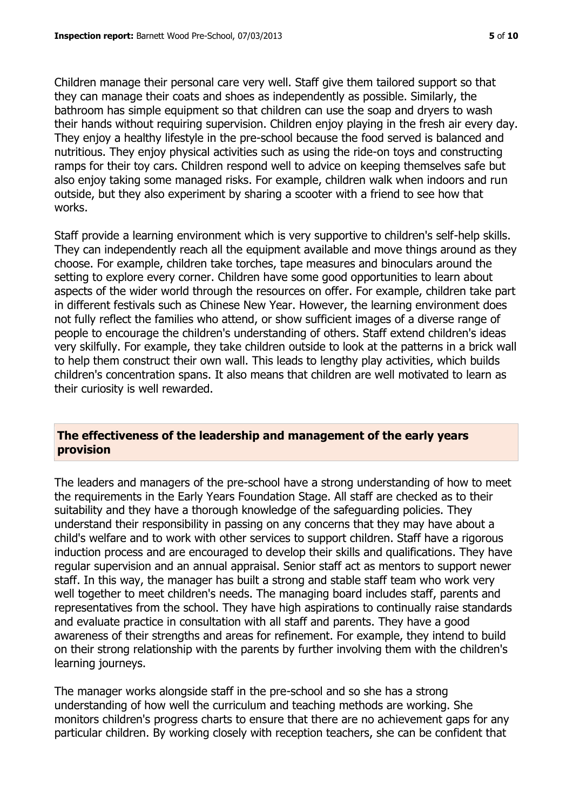Children manage their personal care very well. Staff give them tailored support so that they can manage their coats and shoes as independently as possible. Similarly, the bathroom has simple equipment so that children can use the soap and dryers to wash their hands without requiring supervision. Children enjoy playing in the fresh air every day. They enjoy a healthy lifestyle in the pre-school because the food served is balanced and nutritious. They enjoy physical activities such as using the ride-on toys and constructing ramps for their toy cars. Children respond well to advice on keeping themselves safe but also enjoy taking some managed risks. For example, children walk when indoors and run outside, but they also experiment by sharing a scooter with a friend to see how that works.

Staff provide a learning environment which is very supportive to children's self-help skills. They can independently reach all the equipment available and move things around as they choose. For example, children take torches, tape measures and binoculars around the setting to explore every corner. Children have some good opportunities to learn about aspects of the wider world through the resources on offer. For example, children take part in different festivals such as Chinese New Year. However, the learning environment does not fully reflect the families who attend, or show sufficient images of a diverse range of people to encourage the children's understanding of others. Staff extend children's ideas very skilfully. For example, they take children outside to look at the patterns in a brick wall to help them construct their own wall. This leads to lengthy play activities, which builds children's concentration spans. It also means that children are well motivated to learn as their curiosity is well rewarded.

# **The effectiveness of the leadership and management of the early years provision**

The leaders and managers of the pre-school have a strong understanding of how to meet the requirements in the Early Years Foundation Stage. All staff are checked as to their suitability and they have a thorough knowledge of the safeguarding policies. They understand their responsibility in passing on any concerns that they may have about a child's welfare and to work with other services to support children. Staff have a rigorous induction process and are encouraged to develop their skills and qualifications. They have regular supervision and an annual appraisal. Senior staff act as mentors to support newer staff. In this way, the manager has built a strong and stable staff team who work very well together to meet children's needs. The managing board includes staff, parents and representatives from the school. They have high aspirations to continually raise standards and evaluate practice in consultation with all staff and parents. They have a good awareness of their strengths and areas for refinement. For example, they intend to build on their strong relationship with the parents by further involving them with the children's learning journeys.

The manager works alongside staff in the pre-school and so she has a strong understanding of how well the curriculum and teaching methods are working. She monitors children's progress charts to ensure that there are no achievement gaps for any particular children. By working closely with reception teachers, she can be confident that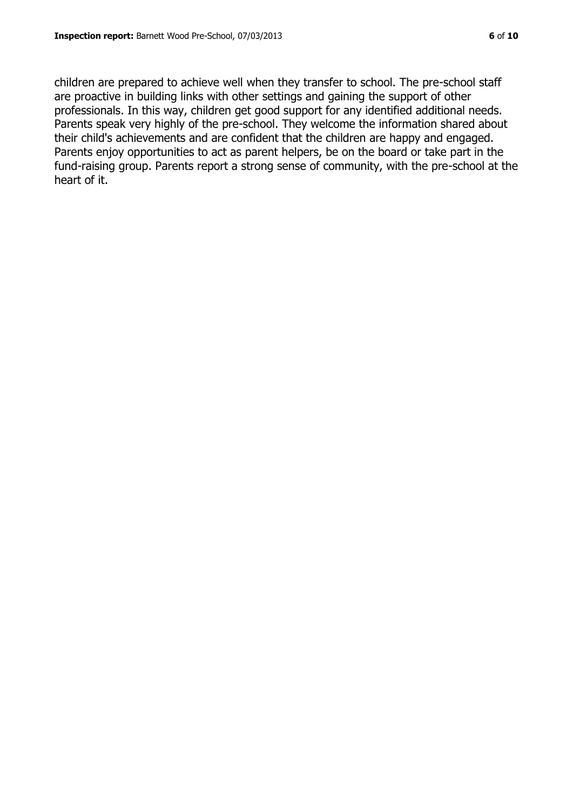children are prepared to achieve well when they transfer to school. The pre-school staff are proactive in building links with other settings and gaining the support of other professionals. In this way, children get good support for any identified additional needs. Parents speak very highly of the pre-school. They welcome the information shared about their child's achievements and are confident that the children are happy and engaged. Parents enjoy opportunities to act as parent helpers, be on the board or take part in the fund-raising group. Parents report a strong sense of community, with the pre-school at the heart of it.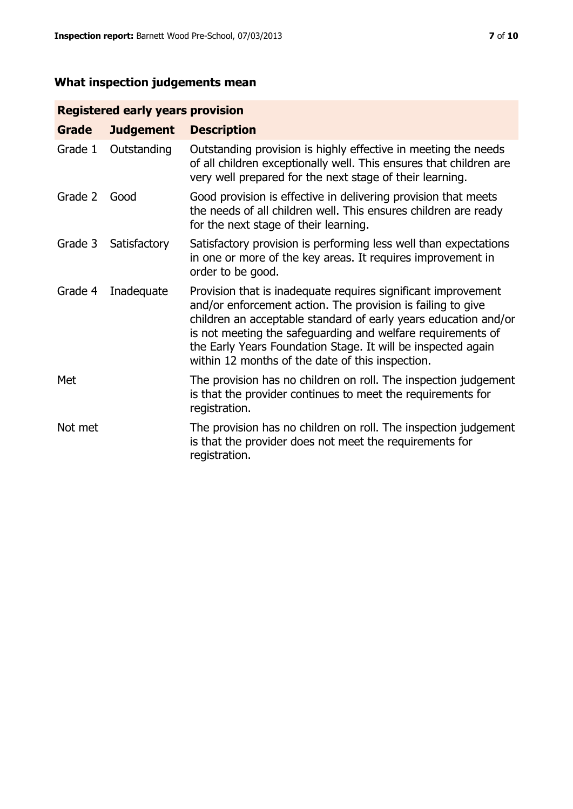# **What inspection judgements mean**

| <b>Registered early years provision</b> |  |  |
|-----------------------------------------|--|--|

| Grade   | <b>Judgement</b> | <b>Description</b>                                                                                                                                                                                                                                                                                                                                                                 |
|---------|------------------|------------------------------------------------------------------------------------------------------------------------------------------------------------------------------------------------------------------------------------------------------------------------------------------------------------------------------------------------------------------------------------|
| Grade 1 | Outstanding      | Outstanding provision is highly effective in meeting the needs<br>of all children exceptionally well. This ensures that children are<br>very well prepared for the next stage of their learning.                                                                                                                                                                                   |
| Grade 2 | Good             | Good provision is effective in delivering provision that meets<br>the needs of all children well. This ensures children are ready<br>for the next stage of their learning.                                                                                                                                                                                                         |
| Grade 3 | Satisfactory     | Satisfactory provision is performing less well than expectations<br>in one or more of the key areas. It requires improvement in<br>order to be good.                                                                                                                                                                                                                               |
| Grade 4 | Inadequate       | Provision that is inadequate requires significant improvement<br>and/or enforcement action. The provision is failing to give<br>children an acceptable standard of early years education and/or<br>is not meeting the safeguarding and welfare requirements of<br>the Early Years Foundation Stage. It will be inspected again<br>within 12 months of the date of this inspection. |
| Met     |                  | The provision has no children on roll. The inspection judgement<br>is that the provider continues to meet the requirements for<br>registration.                                                                                                                                                                                                                                    |
| Not met |                  | The provision has no children on roll. The inspection judgement<br>is that the provider does not meet the requirements for<br>registration.                                                                                                                                                                                                                                        |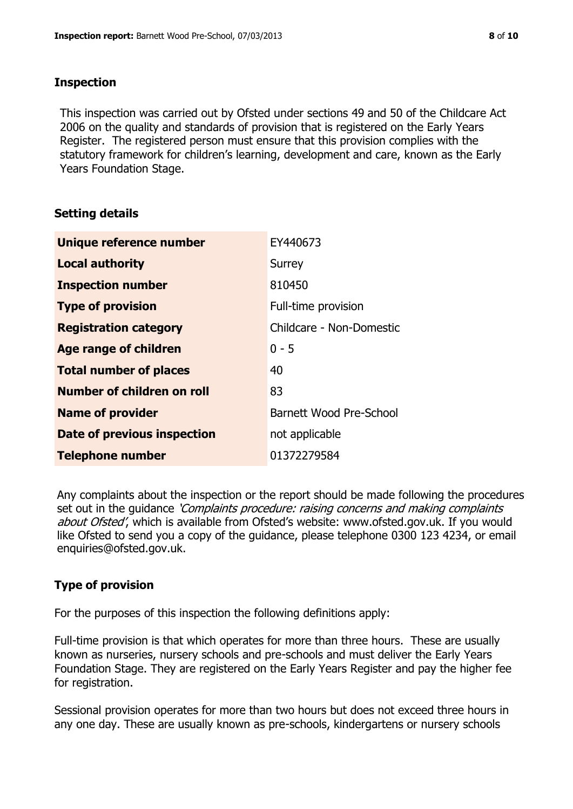### **Inspection**

This inspection was carried out by Ofsted under sections 49 and 50 of the Childcare Act 2006 on the quality and standards of provision that is registered on the Early Years Register. The registered person must ensure that this provision complies with the statutory framework for children's learning, development and care, known as the Early Years Foundation Stage.

# **Setting details**

| Unique reference number       | EY440673                 |
|-------------------------------|--------------------------|
| <b>Local authority</b>        | Surrey                   |
| <b>Inspection number</b>      | 810450                   |
| <b>Type of provision</b>      | Full-time provision      |
| <b>Registration category</b>  | Childcare - Non-Domestic |
| Age range of children         | $0 - 5$                  |
| <b>Total number of places</b> | 40                       |
| Number of children on roll    | 83                       |
| <b>Name of provider</b>       | Barnett Wood Pre-School  |
| Date of previous inspection   | not applicable           |
| <b>Telephone number</b>       | 01372279584              |

Any complaints about the inspection or the report should be made following the procedures set out in the guidance *'Complaints procedure: raising concerns and making complaints* about Ofsted', which is available from Ofsted's website: www.ofsted.gov.uk. If you would like Ofsted to send you a copy of the guidance, please telephone 0300 123 4234, or email enquiries@ofsted.gov.uk.

# **Type of provision**

For the purposes of this inspection the following definitions apply:

Full-time provision is that which operates for more than three hours. These are usually known as nurseries, nursery schools and pre-schools and must deliver the Early Years Foundation Stage. They are registered on the Early Years Register and pay the higher fee for registration.

Sessional provision operates for more than two hours but does not exceed three hours in any one day. These are usually known as pre-schools, kindergartens or nursery schools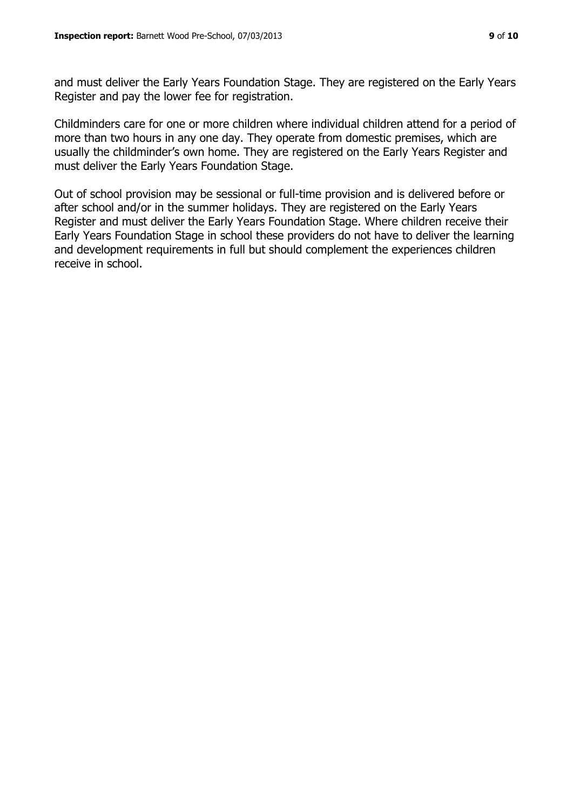and must deliver the Early Years Foundation Stage. They are registered on the Early Years Register and pay the lower fee for registration.

Childminders care for one or more children where individual children attend for a period of more than two hours in any one day. They operate from domestic premises, which are usually the childminder's own home. They are registered on the Early Years Register and must deliver the Early Years Foundation Stage.

Out of school provision may be sessional or full-time provision and is delivered before or after school and/or in the summer holidays. They are registered on the Early Years Register and must deliver the Early Years Foundation Stage. Where children receive their Early Years Foundation Stage in school these providers do not have to deliver the learning and development requirements in full but should complement the experiences children receive in school.